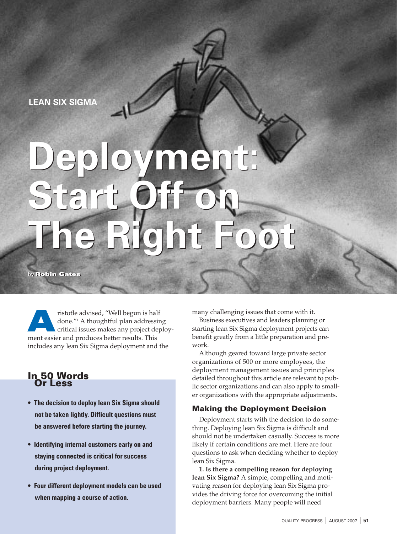**LEAN SIX SIGMA** 

# **Deployment: Start Off on The Right Foot Deployment: Start Off on The Right Foot**

by **Robin Gates** by **Robin Gates**

ristotle advised, "Well begun is half done."1 A thoughtful plan addressing critical issues makes any project deployment easier and produces better results. This and produces better results. This includes any lean Six Sigma deployment and the

## In 50 Words Or Less

- **• The decision to deploy lean Six Sigma should not be taken lightly. Difficult questions must be answered before starting the journey.**
- **• Identifying internal customers early on and staying connected is critical for success during project deployment.**
- **• Four different deployment models can be used when mapping a course of action.**

many challenging issues that come with it.

Business executives and leaders planning or starting lean Six Sigma deployment projects can benefit greatly from a little preparation and prework.

Although geared toward large private sector organizations of 500 or more employees, the deployment management issues and principles detailed throughout this article are relevant to public sector organizations and can also apply to smaller organizations with the appropriate adjustments.

## Making the Deployment Decision

Deployment starts with the decision to do something. Deploying lean Six Sigma is difficult and should not be undertaken casually. Success is more likely if certain conditions are met. Here are four questions to ask when deciding whether to deploy lean Six Sigma.

**1. Is there a compelling reason for deploying lean Six Sigma?** A simple, compelling and motivating reason for deploying lean Six Sigma provides the driving force for overcoming the initial deployment barriers. Many people will need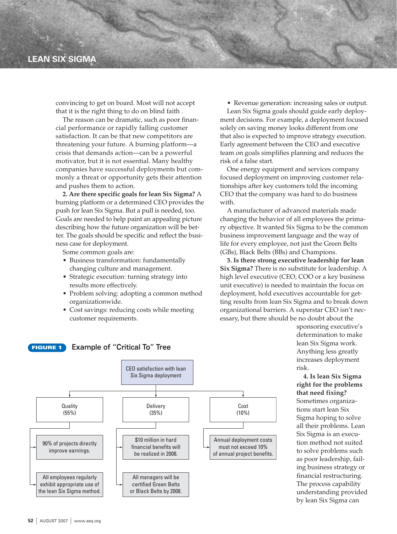## **LEAN SIX SIGMA**

convincing to get on board. Most will not accept that it is the right thing to do on blind faith .

The reason can be dramatic, such as poor financial performance or rapidly falling customer satisfaction. It can be that new competitors are threatening your future. A burning platform—a crisis that demands action—can be a powerful motivator, but it is not essential. Many healthy companies have successful deployments but commonly a threat or opportunity gets their attention and pushes them to action.

**2. Are there specific goals for lean Six Sigma?** A burning platform or a determined CEO provides the push for lean Six Sigma. But a pull is needed, too. Goals are needed to help paint an appealing picture describing how the future organization will be better. The goals should be specific and reflect the business case for deployment.

Some common goals are:

- Business transformation: fundamentally changing culture and management.
- Strategic execution: turning strategy into results more effectively.
- Problem solving: adopting a common method organizationwide.
- Cost savings: reducing costs while meeting customer requirements.

• Revenue generation: increasing sales or output.

Lean Six Sigma goals should guide early deployment decisions. For example, a deployment focused solely on saving money looks different from one that also is expected to improve strategy execution. Early agreement between the CEO and executive team on goals simplifies planning and reduces the risk of a false start.

One energy equipment and services company focused deployment on improving customer relationships after key customers told the incoming CEO that the company was hard to do business with.

A manufacturer of advanced materials made changing the behavior of all employees the primary objective. It wanted Six Sigma to be the common business improvement language and the way of life for every employee, not just the Green Belts (GBs), Black Belts (BBs) and Champions.

**3. Is there strong executive leadership for lean Six Sigma?** There is no substitute for leadership. A high level executive (CEO, COO or a key business unit executive) is needed to maintain the focus on deployment, hold executives accountable for getting results from lean Six Sigma and to break down organizational barriers. A superstar CEO isn't necessary, but there should be no doubt about the

> sponsoring executive's determination to make lean Six Sigma work. Anything less greatly increases deployment risk.

**4. Is lean Six Sigma right for the problems that need fixing?** Sometimes organizations start lean Six Sigma hoping to solve all their problems. Lean Six Sigma is an execution method not suited to solve problems such as poor leadership, failing business strategy or financial restructuring. The process capability understanding provided by lean Six Sigma can



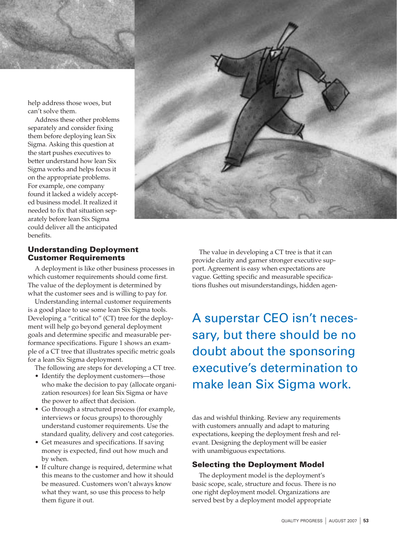help address those woes, but can't solve them.

Address these other problems separately and consider fixing them before deploying lean Six Sigma. Asking this question at the start pushes executives to better understand how lean Six Sigma works and helps focus it on the appropriate problems. For example, one company found it lacked a widely accepted business model. It realized it needed to fix that situation separately before lean Six Sigma could deliver all the anticipated benefits.



## Understanding Deployment Customer Requirements

A deployment is like other business processes in which customer requirements should come first. The value of the deployment is determined by what the customer sees and is willing to pay for.

Understanding internal customer requirements is a good place to use some lean Six Sigma tools. Developing a "critical to" (CT) tree for the deployment will help go beyond general deployment goals and determine specific and measurable performance specifications. Figure 1 shows an example of a CT tree that illustrates specific metric goals for a lean Six Sigma deployment.

The following are steps for developing a CT tree.

- Identify the deployment customers—those who make the decision to pay (allocate organization resources) for lean Six Sigma or have the power to affect that decision.
- Go through a structured process (for example, interviews or focus groups) to thoroughly understand customer requirements. Use the standard quality, delivery and cost categories.
- Get measures and specifications. If saving money is expected, find out how much and by when.
- If culture change is required, determine what this means to the customer and how it should be measured. Customers won't always know what they want, so use this process to help them figure it out.

The value in developing a CT tree is that it can provide clarity and garner stronger executive support. Agreement is easy when expectations are vague. Getting specific and measurable specifications flushes out misunderstandings, hidden agen-

A superstar CEO isn't necessary, but there should be no doubt about the sponsoring executive's determination to make lean Six Sigma work.

das and wishful thinking. Review any requirements with customers annually and adapt to maturing expectations, keeping the deployment fresh and relevant. Designing the deployment will be easier with unambiguous expectations.

#### Selecting the Deployment Model

The deployment model is the deployment's basic scope, scale, structure and focus. There is no one right deployment model. Organizations are served best by a deployment model appropriate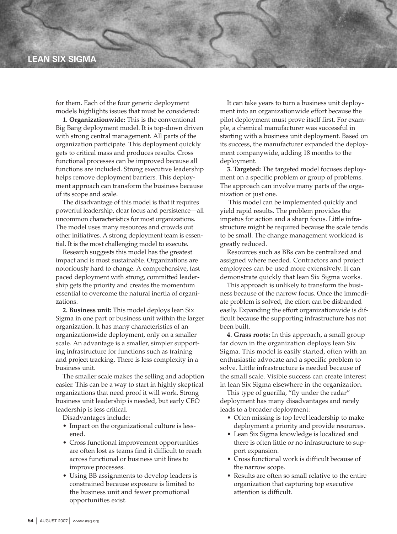## **LEAN SIX SIGMA**

for them. Each of the four generic deployment models highlights issues that must be considered:

**1. Organizationwide:** This is the conventional Big Bang deployment model. It is top-down driven with strong central management. All parts of the organization participate. This deployment quickly gets to critical mass and produces results. Cross functional processes can be improved because all functions are included. Strong executive leadership helps remove deployment barriers. This deployment approach can transform the business because of its scope and scale.

The disadvantage of this model is that it requires powerful leadership, clear focus and persistence—all uncommon characteristics for most organizations. The model uses many resources and crowds out other initiatives. A strong deployment team is essential. It is the most challenging model to execute.

Research suggests this model has the greatest impact and is most sustainable. Organizations are notoriously hard to change. A comprehensive, fast paced deployment with strong, committed leadership gets the priority and creates the momentum essential to overcome the natural inertia of organizations.

**2. Business unit:** This model deploys lean Six Sigma in one part or business unit within the larger organization. It has many characteristics of an organizationwide deployment, only on a smaller scale. An advantage is a smaller, simpler supporting infrastructure for functions such as training and project tracking. There is less complexity in a business unit.

The smaller scale makes the selling and adoption easier. This can be a way to start in highly skeptical organizations that need proof it will work. Strong business unit leadership is needed, but early CEO leadership is less critical.

Disadvantages include:

- Impact on the organizational culture is lessened.
- Cross functional improvement opportunities are often lost as teams find it difficult to reach across functional or business unit lines to improve processes.
- Using BB assignments to develop leaders is constrained because exposure is limited to the business unit and fewer promotional opportunities exist.

It can take years to turn a business unit deployment into an organizationwide effort because the pilot deployment must prove itself first. For example, a chemical manufacturer was successful in starting with a business unit deployment. Based on its success, the manufacturer expanded the deployment companywide, adding 18 months to the deployment.

**3. Targeted:** The targeted model focuses deployment on a specific problem or group of problems. The approach can involve many parts of the organization or just one.

This model can be implemented quickly and yield rapid results. The problem provides the impetus for action and a sharp focus. Little infrastructure might be required because the scale tends to be small. The change management workload is greatly reduced.

Resources such as BBs can be centralized and assigned where needed. Contractors and project employees can be used more extensively. It can demonstrate quickly that lean Six Sigma works.

This approach is unlikely to transform the business because of the narrow focus. Once the immediate problem is solved, the effort can be disbanded easily. Expanding the effort organizationwide is difficult because the supporting infrastructure has not been built.

**4. Grass roots:** In this approach, a small group far down in the organization deploys lean Six Sigma. This model is easily started, often with an enthusiastic advocate and a specific problem to solve. Little infrastructure is needed because of the small scale. Visible success can create interest in lean Six Sigma elsewhere in the organization.

This type of guerilla, "fly under the radar" deployment has many disadvantages and rarely leads to a broader deployment:

- Often missing is top level leadership to make deployment a priority and provide resources.
- Lean Six Sigma knowledge is localized and there is often little or no infrastructure to support expansion.
- Cross functional work is difficult because of the narrow scope.
- Results are often so small relative to the entire organization that capturing top executive attention is difficult.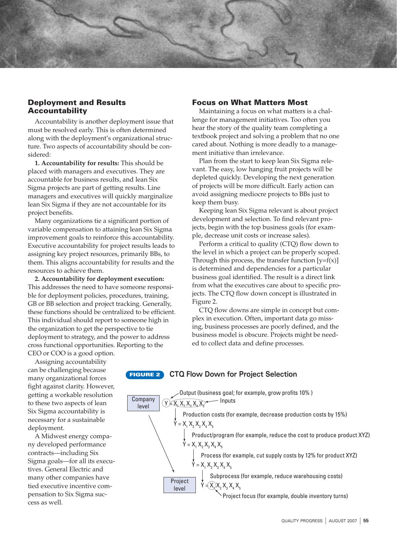#### Deployment and Results Accountability

Accountability is another deployment issue that must be resolved early. This is often determined along with the deployment's organizational structure. Two aspects of accountability should be considered:

**1. Accountability for results:** This should be placed with managers and executives. They are accountable for business results, and lean Six Sigma projects are part of getting results. Line managers and executives will quickly marginalize lean Six Sigma if they are not accountable for its project benefits.

Many organizations tie a significant portion of variable compensation to attaining lean Six Sigma improvement goals to reinforce this accountability. Executive accountability for project results leads to assigning key project resources, primarily BBs, to them. This aligns accountability for results and the resources to achieve them.

**2. Accountability for deployment execution:** This addresses the need to have someone responsible for deployment policies, procedures, training, GB or BB selection and project tracking. Generally, these functions should be centralized to be efficient. This individual should report to someone high in the organization to get the perspective to tie deployment to strategy, and the power to address cross functional opportunities. Reporting to the CEO or COO is a good option.

#### Focus on What Matters Most

Maintaining a focus on what matters is a challenge for management initiatives. Too often you hear the story of the quality team completing a textbook project and solving a problem that no one cared about. Nothing is more deadly to a management initiative than irrelevance.

Plan from the start to keep lean Six Sigma relevant. The easy, low hanging fruit projects will be depleted quickly. Developing the next generation of projects will be more difficult. Early action can avoid assigning mediocre projects to BBs just to keep them busy.

Keeping lean Six Sigma relevant is about project development and selection. To find relevant projects, begin with the top business goals (for example, decrease unit costs or increase sales).

Perform a critical to quality (CTQ) flow down to the level in which a project can be properly scoped. Through this process, the transfer function  $[y=f(x)]$ is determined and dependencies for a particular business goal identified. The result is a direct link from what the executives care about to specific projects. The CTQ flow down concept is illustrated in Figure 2.

CTQ flow downs are simple in concept but complex in execution. Often, important data go missing, business processes are poorly defined, and the business model is obscure. Projects might be needed to collect data and define processes.

Assigning accountability can be challenging because many organizational forces fight against clarity. However, getting a workable resolution to these two aspects of lean Six Sigma accountability is necessary for a sustainable deployment.

A Midwest energy company developed performance contracts—including Six Sigma goals—for all its executives. General Electric and many other companies have tied executive incentive compensation to Six Sigma success as well.

#### **FIGURE 2 CTQ Flow Down for Project Selection**

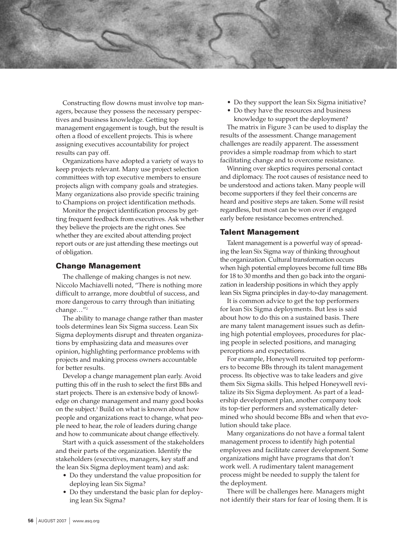

Constructing flow downs must involve top managers, because they possess the necessary perspectives and business knowledge. Getting top management engagement is tough, but the result is often a flood of excellent projects. This is where assigning executives accountability for project results can pay off.

Organizations have adopted a variety of ways to keep projects relevant. Many use project selection committees with top executive members to ensure projects align with company goals and strategies. Many organizations also provide specific training to Champions on project identification methods.

Monitor the project identification process by getting frequent feedback from executives. Ask whether they believe the projects are the right ones. See whether they are excited about attending project report outs or are just attending these meetings out of obligation.

#### Change Management

The challenge of making changes is not new. Niccolo Machiavelli noted, "There is nothing more difficult to arrange, more doubtful of success, and more dangerous to carry through than initiating change…"2

The ability to manage change rather than master tools determines lean Six Sigma success. Lean Six Sigma deployments disrupt and threaten organizations by emphasizing data and measures over opinion, highlighting performance problems with projects and making process owners accountable for better results.

Develop a change management plan early. Avoid putting this off in the rush to select the first BBs and start projects. There is an extensive body of knowledge on change management and many good books on the subject.3 Build on what is known about how people and organizations react to change, what people need to hear, the role of leaders during change and how to communicate about change effectively.

Start with a quick assessment of the stakeholders and their parts of the organization. Identify the stakeholders (executives, managers, key staff and the lean Six Sigma deployment team) and ask:

- Do they understand the value proposition for deploying lean Six Sigma?
- Do they understand the basic plan for deploying lean Six Sigma?
- Do they support the lean Six Sigma initiative?
- Do they have the resources and business knowledge to support the deployment?

The matrix in Figure 3 can be used to display the results of the assessment. Change management challenges are readily apparent. The assessment provides a simple roadmap from which to start facilitating change and to overcome resistance.

Winning over skeptics requires personal contact and diplomacy. The root causes of resistance need to be understood and actions taken. Many people will become supporters if they feel their concerns are heard and positive steps are taken. Some will resist regardless, but most can be won over if engaged early before resistance becomes entrenched.

#### Talent Management

Talent management is a powerful way of spreading the lean Six Sigma way of thinking throughout the organization. Cultural transformation occurs when high potential employees become full time BBs for 18 to 30 months and then go back into the organization in leadership positions in which they apply lean Six Sigma principles in day-to-day management.

It is common advice to get the top performers for lean Six Sigma deployments. But less is said about how to do this on a sustained basis. There are many talent management issues such as defining high potential employees, procedures for placing people in selected positions, and managing perceptions and expectations.

For example, Honeywell recruited top performers to become BBs through its talent management process. Its objective was to take leaders and give them Six Sigma skills. This helped Honeywell revitalize its Six Sigma deployment. As part of a leadership development plan, another company took its top-tier performers and systematically determined who should become BBs and when that evolution should take place.

Many organizations do not have a formal talent management process to identify high potential employees and facilitate career development. Some organizations might have programs that don't work well. A rudimentary talent management process might be needed to supply the talent for the deployment.

There will be challenges here. Managers might not identify their stars for fear of losing them. It is